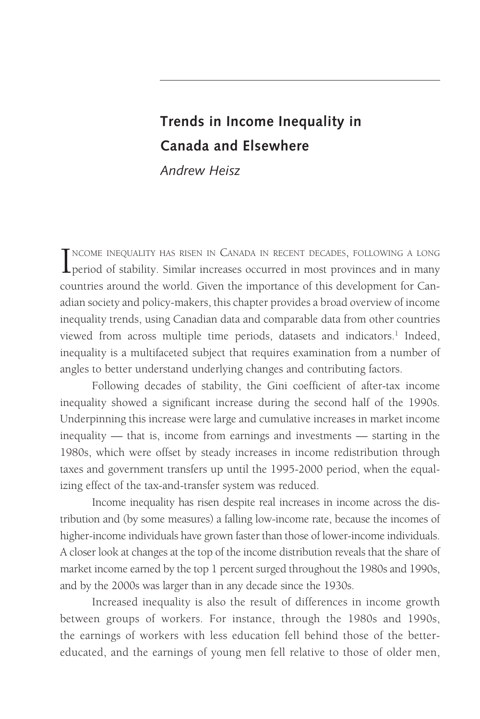# **Trends in Income Inequality in Canada and Elsewhere**

*Andrew Heisz*

INCOME INEQUALITY HAS RISEN IN CANADA IN RECENT DECADES, FOLLOWING A LONG period of stability. Similar increases occurred in most provinces and in many ncome inequality has risen in Canada in recent decades, following a long countries around the world. Given the importance of this development for Canadian society and policy-makers, this chapter provides a broad overview of income inequality trends, using Canadian data and comparable data from other countries viewed from across multiple time periods, datasets and indicators.<sup>1</sup> Indeed, inequality is a multifaceted subject that requires examination from a number of angles to better understand underlying changes and contributing factors.

Following decades of stability, the Gini coefficient of after-tax income inequality showed a significant increase during the second half of the 1990s. Underpinning this increase were large and cumulative increases in market income inequality — that is, income from earnings and investments — starting in the 1980s, which were offset by steady increases in income redistribution through taxes and government transfers up until the 1995-2000 period, when the equalizing effect of the tax-and-transfer system was reduced.

Income inequality has risen despite real increases in income across the distribution and (by some measures) a falling low-income rate, because the incomes of higher-income individuals have grown faster than those of lower-income individuals. A closer look at changes at the top of the income distribution reveals that the share of market income earned by the top 1 percent surged throughout the 1980s and 1990s, and by the 2000s was larger than in any decade since the 1930s.

Increased inequality is also the result of differences in income growth between groups of workers. For instance, through the 1980s and 1990s, the earnings of workers with less education fell behind those of the bettereducated, and the earnings of young men fell relative to those of older men,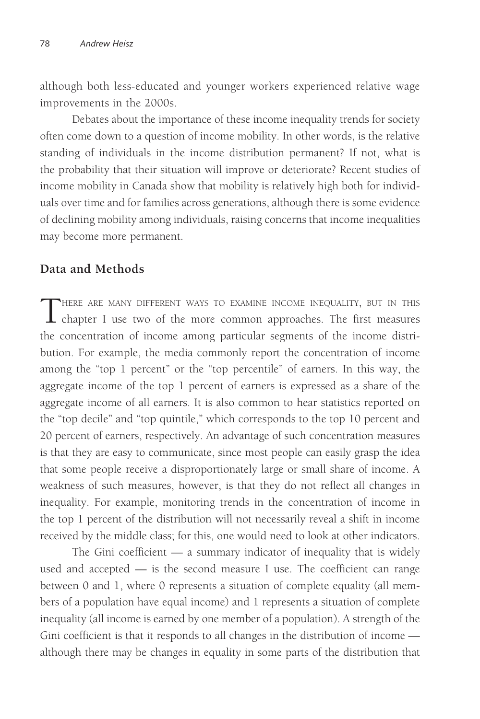although both less-educated and younger workers experienced relative wage improvements in the 2000s.

Debates about the importance of these income inequality trends for society often come down to a question of income mobility. In other words, is the relative standing of individuals in the income distribution permanent? If not, what is the probability that their situation will improve or deteriorate? Recent studies of income mobility in Canada show that mobility is relatively high both for individuals over time and for families across generations, although there is some evidence of declining mobility among individuals, raising concerns that income inequalities may become more permanent.

## **Data and Methods**

THERE ARE MANY DIFFERENT WAYS TO EXAMINE INCOME INEQUALITY, BUT IN THIS chapter I use two of the more common approaches. The first measures the concentration of income among particular segments of the income distribution. For example, the media commonly report the concentration of income among the "top 1 percent" or the "top percentile" of earners. In this way, the aggregate income of the top 1 percent of earners is expressed as a share of the aggregate income of all earners. It is also common to hear statistics reported on the "top decile" and "top quintile," which corresponds to the top 10 percent and 20 percent of earners, respectively. An advantage of such concentration measures is that they are easy to communicate, since most people can easily grasp the idea that some people receive a disproportionately large or small share of income. A weakness of such measures, however, is that they do not reflect all changes in inequality. For example, monitoring trends in the concentration of income in the top 1 percent of the distribution will not necessarily reveal a shift in income received by the middle class; for this, one would need to look at other indicators.

The Gini coefficient  $-$  a summary indicator of inequality that is widely used and accepted — is the second measure I use. The coefficient can range between 0 and 1, where 0 represents a situation of complete equality (all members of a population have equal income) and 1 represents a situation of complete inequality (all income is earned by one member of a population). A strength of the Gini coefficient is that it responds to all changes in the distribution of income although there may be changes in equality in some parts of the distribution that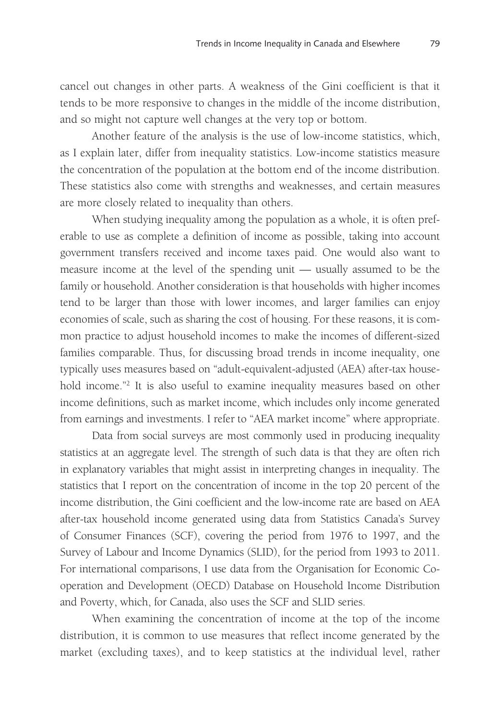cancel out changes in other parts. A weakness of the Gini coefficient is that it tends to be more responsive to changes in the middle of the income distribution, and so might not capture well changes at the very top or bottom.

Another feature of the analysis is the use of low-income statistics, which, as I explain later, differ from inequality statistics. Low-income statistics measure the concentration of the population at the bottom end of the income distribution. These statistics also come with strengths and weaknesses, and certain measures are more closely related to inequality than others.

When studying inequality among the population as a whole, it is often preferable to use as complete a definition of income as possible, taking into account government transfers received and income taxes paid. One would also want to measure income at the level of the spending unit — usually assumed to be the family or household. Another consideration is that households with higher incomes tend to be larger than those with lower incomes, and larger families can enjoy economies of scale, such as sharing the cost of housing. For these reasons, it is common practice to adjust household incomes to make the incomes of different-sized families comparable. Thus, for discussing broad trends in income inequality, one typically uses measures based on "adult-equivalent-adjusted (AEA) after-tax household income."2 It is also useful to examine inequality measures based on other income definitions, such as market income, which includes only income generated from earnings and investments. I refer to "AEA market income" where appropriate.

Data from social surveys are most commonly used in producing inequality statistics at an aggregate level. The strength of such data is that they are often rich in explanatory variables that might assist in interpreting changes in inequality. The statistics that I report on the concentration of income in the top 20 percent of the income distribution, the Gini coefficient and the low-income rate are based on AEA after-tax household income generated using data from Statistics Canada's Survey of Consumer Finances (SCF), covering the period from 1976 to 1997, and the Survey of Labour and Income Dynamics (SLID), for the period from 1993 to 2011. For international comparisons, I use data from the Organisation for Economic Cooperation and Development (OECD) Database on Household Income Distribution and Poverty, which, for Canada, also uses the SCF and SLID series.

When examining the concentration of income at the top of the income distribution, it is common to use measures that reflect income generated by the market (excluding taxes), and to keep statistics at the individual level, rather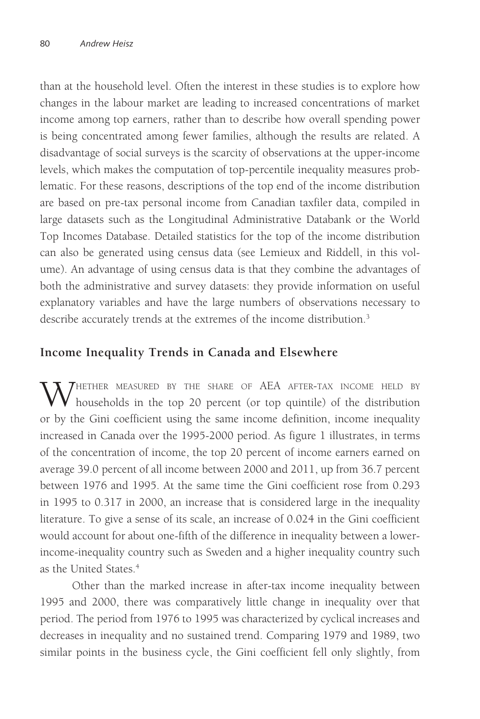than at the household level. Often the interest in these studies is to explore how changes in the labour market are leading to increased concentrations of market income among top earners, rather than to describe how overall spending power is being concentrated among fewer families, although the results are related. A disadvantage of social surveys is the scarcity of observations at the upper-income levels, which makes the computation of top-percentile inequality measures problematic. For these reasons, descriptions of the top end of the income distribution are based on pre-tax personal income from Canadian taxfiler data, compiled in large datasets such as the Longitudinal Administrative Databank or the World Top Incomes Database. Detailed statistics for the top of the income distribution can also be generated using census data (see Lemieux and Riddell, in this volume). An advantage of using census data is that they combine the advantages of both the administrative and survey datasets: they provide information on useful explanatory variables and have the large numbers of observations necessary to describe accurately trends at the extremes of the income distribution.<sup>3</sup>

## **Income Inequality Trends in Canada and Elsewhere**

**X** THETHER MEASURED BY THE SHARE OF AEA AFTER-TAX INCOME HELD BY households in the top 20 percent (or top quintile) of the distribution or by the Gini coefficient using the same income definition, income inequality increased in Canada over the 1995-2000 period. As figure 1 illustrates, in terms of the concentration of income, the top 20 percent of income earners earned on average 39.0 percent of all income between 2000 and 2011, up from 36.7 percent between 1976 and 1995. At the same time the Gini coefficient rose from 0.293 in 1995 to 0.317 in 2000, an increase that is considered large in the inequality literature. To give a sense of its scale, an increase of 0.024 in the Gini coefficient would account for about one-fifth of the difference in inequality between a lowerincome-inequality country such as Sweden and a higher inequality country such as the United States<sup>4</sup>

Other than the marked increase in after-tax income inequality between 1995 and 2000, there was comparatively little change in inequality over that period. The period from 1976 to 1995 was characterized by cyclical increases and decreases in inequality and no sustained trend. Comparing 1979 and 1989, two similar points in the business cycle, the Gini coefficient fell only slightly, from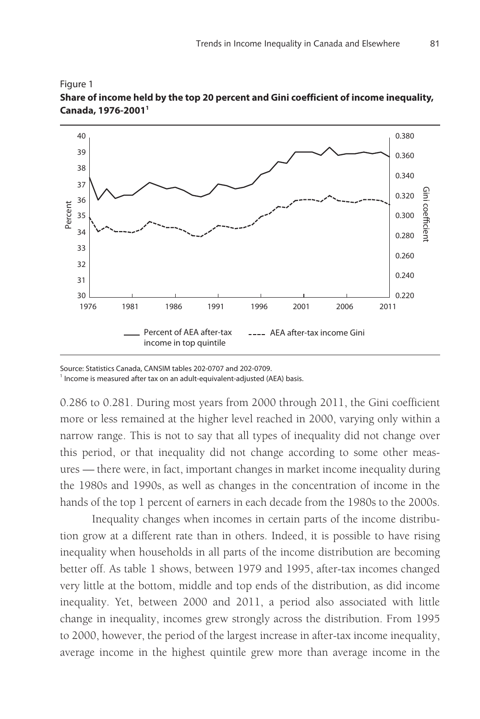



0.286 to 0.281. During most years from 2000 through 2011, the Gini coefficient more or less remained at the higher level reached in 2000, varying only within a narrow range. This is not to say that all types of inequality did not change over this period, or that inequality did not change according to some other measures — there were, in fact, important changes in market income inequality during the 1980s and 1990s, as well as changes in the concentration of income in the hands of the top 1 percent of earners in each decade from the 1980s to the 2000s.

Inequality changes when incomes in certain parts of the income distribution grow at a different rate than in others. Indeed, it is possible to have rising inequality when households in all parts of the income distribution are becoming better off. As table 1 shows, between 1979 and 1995, after-tax incomes changed very little at the bottom, middle and top ends of the distribution, as did income inequality. Yet, between 2000 and 2011, a period also associated with little change in inequality, incomes grew strongly across the distribution. From 1995 to 2000, however, the period of the largest increase in after-tax income inequality, average income in the highest quintile grew more than average income in the

Source: Statistics Canada, CANSIM tables 202-0707 and 202-0709. <sup>1</sup> Income is measured after tax on an adult-equivalent-adjusted (AEA) basis.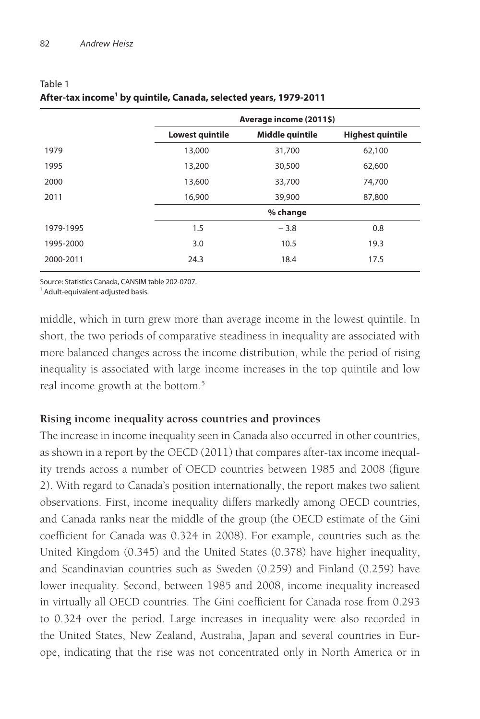|           | Average income (2011\$) |                 |                         |
|-----------|-------------------------|-----------------|-------------------------|
|           | Lowest quintile         | Middle quintile | <b>Highest quintile</b> |
| 1979      | 13,000                  | 31,700          | 62,100                  |
| 1995      | 13,200                  | 30,500          | 62,600                  |
| 2000      | 13,600                  | 33,700          | 74,700                  |
| 2011      | 16,900                  | 39,900          | 87,800                  |
|           |                         | % change        |                         |
| 1979-1995 | 1.5                     | $-3.8$          | 0.8                     |
| 1995-2000 | 3.0                     | 10.5            | 19.3                    |
| 2000-2011 | 24.3                    | 18.4            | 17.5                    |
|           |                         |                 |                         |

#### Table 1 **After-tax income1 by quintile, Canada, selected years, 1979-2011**

Source: Statistics Canada, CANSIM table 202-0707.

Adult-equivalent-adjusted basis.

middle, which in turn grew more than average income in the lowest quintile. In short, the two periods of comparative steadiness in inequality are associated with more balanced changes across the income distribution, while the period of rising inequality is associated with large income increases in the top quintile and low real income growth at the bottom.<sup>5</sup>

#### **Rising income inequality across countries and provinces**

The increase in income inequality seen in Canada also occurred in other countries, as shown in a report by the OECD (2011) that compares after-tax income inequality trends across a number of OECD countries between 1985 and 2008 (figure 2). With regard to Canada's position internationally, the report makes two salient observations. First, income inequality differs markedly among OECD countries, and Canada ranks near the middle of the group (the OECD estimate of the Gini coefficient for Canada was 0.324 in 2008). For example, countries such as the United Kingdom (0.345) and the United States (0.378) have higher inequality, and Scandinavian countries such as Sweden (0.259) and Finland (0.259) have lower inequality. Second, between 1985 and 2008, income inequality increased in virtually all OECD countries. The Gini coefficient for Canada rose from 0.293 to 0.324 over the period. Large increases in inequality were also recorded in the United States, New Zealand, Australia, Japan and several countries in Europe, indicating that the rise was not concentrated only in North America or in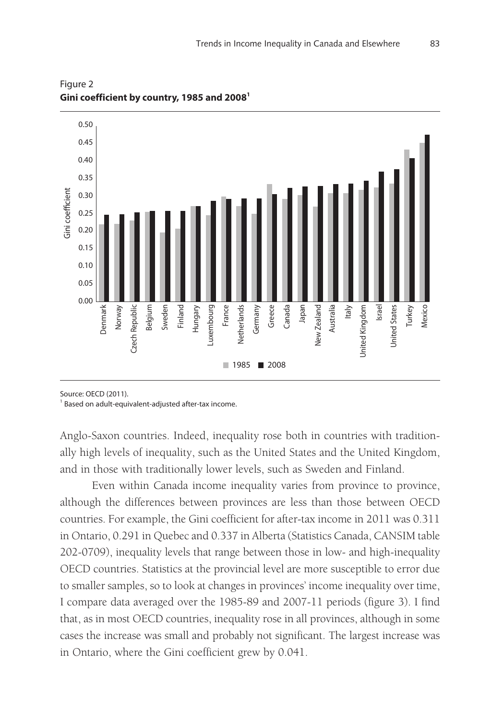

Figure 2 **Gini coefficient by country, 1985 and 20081**

Source: OECD (2011).

<sup>1</sup> Based on adult-equivalent-adjusted after-tax income.

Anglo-Saxon countries. Indeed, inequality rose both in countries with traditionally high levels of inequality, such as the United States and the United Kingdom, and in those with traditionally lower levels, such as Sweden and Finland.

Even within Canada income inequality varies from province to province, although the differences between provinces are less than those between OECD countries. For example, the Gini coefficient for after-tax income in 2011 was 0.311 in Ontario, 0.291 in Quebec and 0.337 in Alberta (Statistics Canada, CANSIM table 202-0709), inequality levels that range between those in low- and high-inequality OECD countries. Statistics at the provincial level are more susceptible to error due to smaller samples, so to look at changes in provinces' income inequality over time, I compare data averaged over the 1985-89 and 2007-11 periods (figure 3). I find that, as in most OECD countries, inequality rose in all provinces, although in some cases the increase was small and probably not significant. The largest increase was in Ontario, where the Gini coefficient grew by 0.041.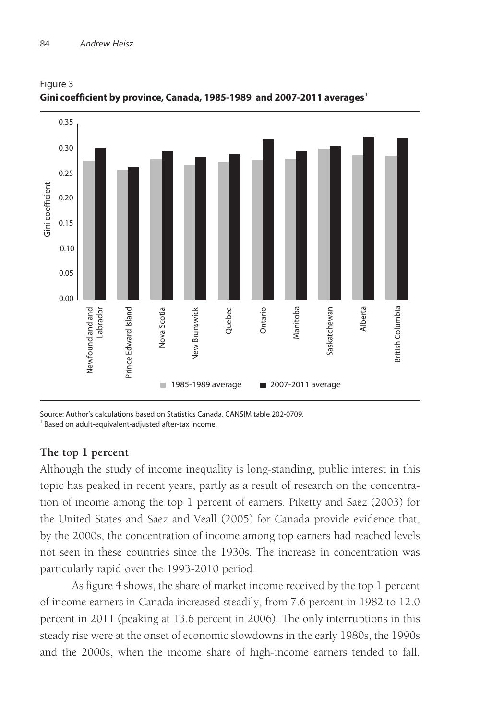

Figure 3 **Gini coefficient by province, Canada, 1985-1989 and 2007-2011 averages1**

Source: Author's calculations based on Statistics Canada, CANSIM table 202-0709. <sup>1</sup> Based on adult-equivalent-adjusted after-tax income.

#### **The top 1 percent**

Although the study of income inequality is long-standing, public interest in this topic has peaked in recent years, partly as a result of research on the concentration of income among the top 1 percent of earners. Piketty and Saez (2003) for the United States and Saez and Veall (2005) for Canada provide evidence that, by the 2000s, the concentration of income among top earners had reached levels not seen in these countries since the 1930s. The increase in concentration was particularly rapid over the 1993-2010 period.

As figure 4 shows, the share of market income received by the top 1 percent of income earners in Canada increased steadily, from 7.6 percent in 1982 to 12.0 percent in 2011 (peaking at 13.6 percent in 2006). The only interruptions in this steady rise were at the onset of economic slowdowns in the early 1980s, the 1990s and the 2000s, when the income share of high-income earners tended to fall.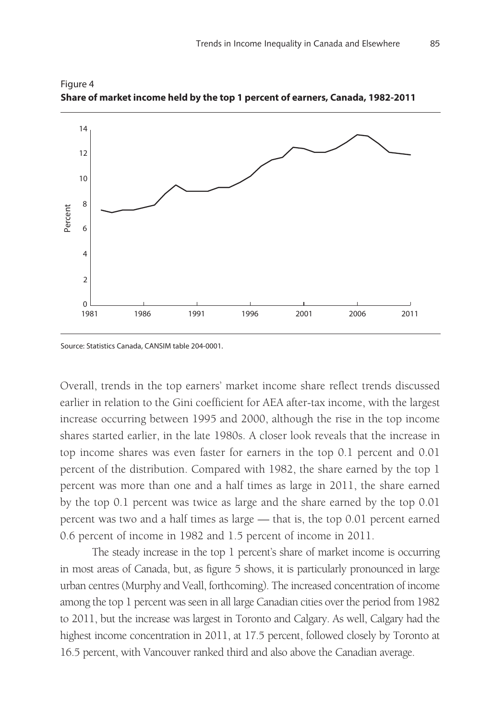

Figure 4 **Share of market income held by the top 1 percent of earners, Canada, 1982-2011**

Source: Statistics Canada, CANSIM table 204-0001.

Overall, trends in the top earners' market income share reflect trends discussed earlier in relation to the Gini coefficient for AEA after-tax income, with the largest increase occurring between 1995 and 2000, although the rise in the top income shares started earlier, in the late 1980s. A closer look reveals that the increase in top income shares was even faster for earners in the top 0.1 percent and 0.01 percent of the distribution. Compared with 1982, the share earned by the top 1 percent was more than one and a half times as large in 2011, the share earned by the top 0.1 percent was twice as large and the share earned by the top 0.01 percent was two and a half times as large — that is, the top 0.01 percent earned 0.6 percent of income in 1982 and 1.5 percent of income in 2011.

The steady increase in the top 1 percent's share of market income is occurring in most areas of Canada, but, as figure 5 shows, it is particularly pronounced in large urban centres (Murphy and Veall, forthcoming). The increased concentration of income among the top 1 percent was seen in all large Canadian cities over the period from 1982 to 2011, but the increase was largest in Toronto and Calgary. As well, Calgary had the highest income concentration in 2011, at 17.5 percent, followed closely by Toronto at 16.5 percent, with Vancouver ranked third and also above the Canadian average.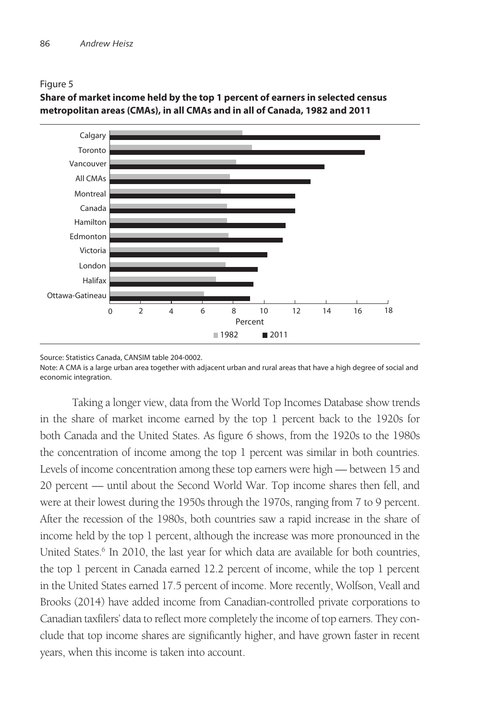Figure 5



**Share of market income held by the top 1 percent of earners in selected census metropolitan areas (CMAs), in all CMAs and in all of Canada, 1982 and 2011**

Source: Statistics Canada, CANSIM table 204-0002.

Note: A CMA is a large urban area together with adjacent urban and rural areas that have a high degree of social and economic integration.

Taking a longer view, data from the World Top Incomes Database show trends in the share of market income earned by the top 1 percent back to the 1920s for both Canada and the United States. As figure 6 shows, from the 1920s to the 1980s the concentration of income among the top 1 percent was similar in both countries. Levels of income concentration among these top earners were high — between 15 and 20 percent — until about the Second World War. Top income shares then fell, and were at their lowest during the 1950s through the 1970s, ranging from 7 to 9 percent. After the recession of the 1980s, both countries saw a rapid increase in the share of income held by the top 1 percent, although the increase was more pronounced in the United States.<sup>6</sup> In 2010, the last year for which data are available for both countries, the top 1 percent in Canada earned 12.2 percent of income, while the top 1 percent in the United States earned 17.5 percent of income. More recently, Wolfson, Veall and Brooks (2014) have added income from Canadian-controlled private corporations to Canadian taxfilers' data to reflect more completely the income of top earners. They conclude that top income shares are significantly higher, and have grown faster in recent years, when this income is taken into account.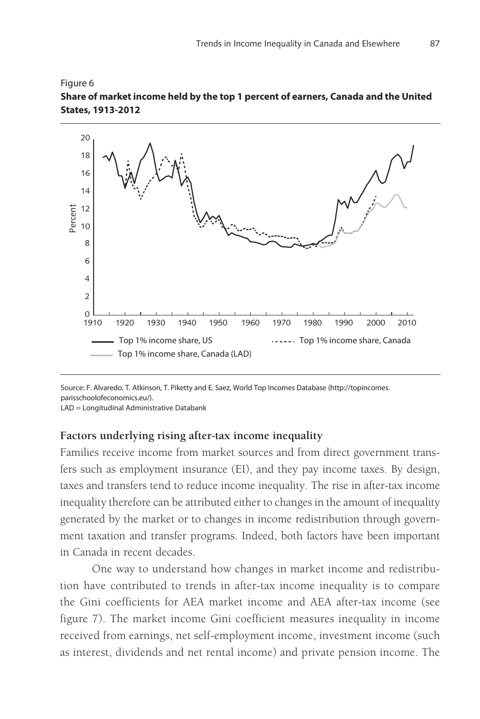



Source: F. Alvaredo, T. Atkinson, T. Piketty and E. Saez, World Top Incomes Database (http://topincomes. parisschoolofeconomics.eu/).

LAD = Longitudinal Administrative Databank

#### **Factors underlying rising after-tax income inequality**

Families receive income from market sources and from direct government transfers such as employment insurance (EI), and they pay income taxes. By design, taxes and transfers tend to reduce income inequality. The rise in after-tax income inequality therefore can be attributed either to changes in the amount of inequality generated by the market or to changes in income redistribution through government taxation and transfer programs. Indeed, both factors have been important in Canada in recent decades.

One way to understand how changes in market income and redistribution have contributed to trends in after-tax income inequality is to compare the Gini coefficients for AEA market income and AEA after-tax income (see figure 7). The market income Gini coefficient measures inequality in income received from earnings, net self-employment income, investment income (such as interest, dividends and net rental income) and private pension income. The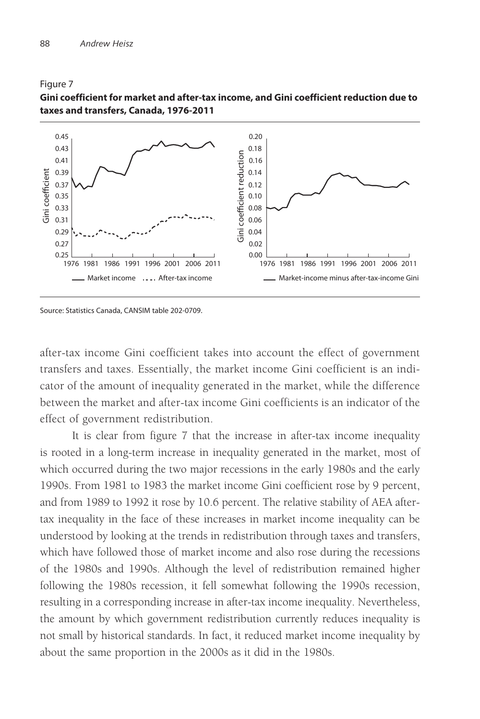

#### Figure 7 **Gini coefficient for market and after-tax income, and Gini coefficient reduction due to taxes and transfers, Canada, 1976-2011**

Source: Statistics Canada, CANSIM table 202-0709.

after-tax income Gini coefficient takes into account the effect of government transfers and taxes. Essentially, the market income Gini coefficient is an indicator of the amount of inequality generated in the market, while the difference between the market and after-tax income Gini coefficients is an indicator of the effect of government redistribution.

It is clear from figure 7 that the increase in after-tax income inequality is rooted in a long-term increase in inequality generated in the market, most of which occurred during the two major recessions in the early 1980s and the early 1990s. From 1981 to 1983 the market income Gini coefficient rose by 9 percent, and from 1989 to 1992 it rose by 10.6 percent. The relative stability of AEA aftertax inequality in the face of these increases in market income inequality can be understood by looking at the trends in redistribution through taxes and transfers, which have followed those of market income and also rose during the recessions of the 1980s and 1990s. Although the level of redistribution remained higher following the 1980s recession, it fell somewhat following the 1990s recession, resulting in a corresponding increase in after-tax income inequality. Nevertheless, the amount by which government redistribution currently reduces inequality is not small by historical standards. In fact, it reduced market income inequality by about the same proportion in the 2000s as it did in the 1980s.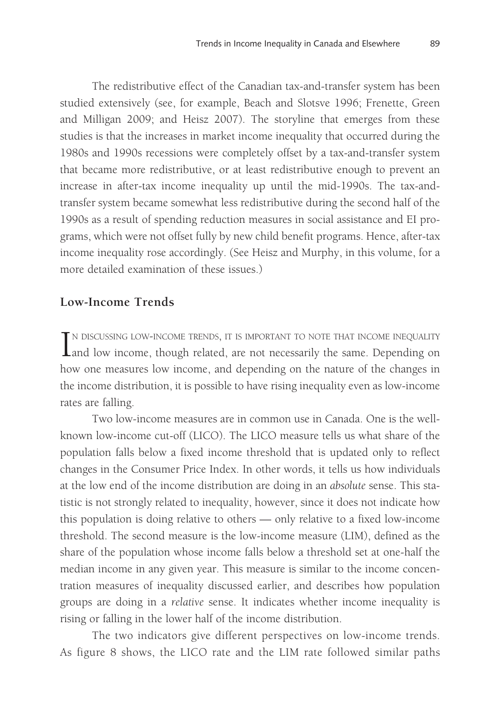The redistributive effect of the Canadian tax-and-transfer system has been studied extensively (see, for example, Beach and Slotsve 1996; Frenette, Green and Milligan 2009; and Heisz 2007). The storyline that emerges from these studies is that the increases in market income inequality that occurred during the 1980s and 1990s recessions were completely offset by a tax-and-transfer system that became more redistributive, or at least redistributive enough to prevent an increase in after-tax income inequality up until the mid-1990s. The tax-andtransfer system became somewhat less redistributive during the second half of the 1990s as a result of spending reduction measures in social assistance and EI programs, which were not offset fully by new child benefit programs. Hence, after-tax income inequality rose accordingly. (See Heisz and Murphy, in this volume, for a more detailed examination of these issues.)

#### **Low-Income Trends**

IN DISCUSSING LOW-INCOME TRENDS, IT IS IMPORTANT TO NOTE THAT INCOME INEQUALITY and low income, though related, are not necessarily the same. Depending on T N DISCUSSING LOW-INCOME TRENDS, IT IS IMPORTANT TO NOTE THAT INCOME INEQUALITY how one measures low income, and depending on the nature of the changes in the income distribution, it is possible to have rising inequality even as low-income rates are falling.

Two low-income measures are in common use in Canada. One is the wellknown low-income cut-off (LICO). The LICO measure tells us what share of the population falls below a fixed income threshold that is updated only to reflect changes in the Consumer Price Index. In other words, it tells us how individuals at the low end of the income distribution are doing in an *absolute* sense. This statistic is not strongly related to inequality, however, since it does not indicate how this population is doing relative to others — only relative to a fixed low-income threshold. The second measure is the low-income measure (LIM), defined as the share of the population whose income falls below a threshold set at one-half the median income in any given year. This measure is similar to the income concentration measures of inequality discussed earlier, and describes how population groups are doing in a *relative* sense. It indicates whether income inequality is rising or falling in the lower half of the income distribution.

The two indicators give different perspectives on low-income trends. As figure 8 shows, the LICO rate and the LIM rate followed similar paths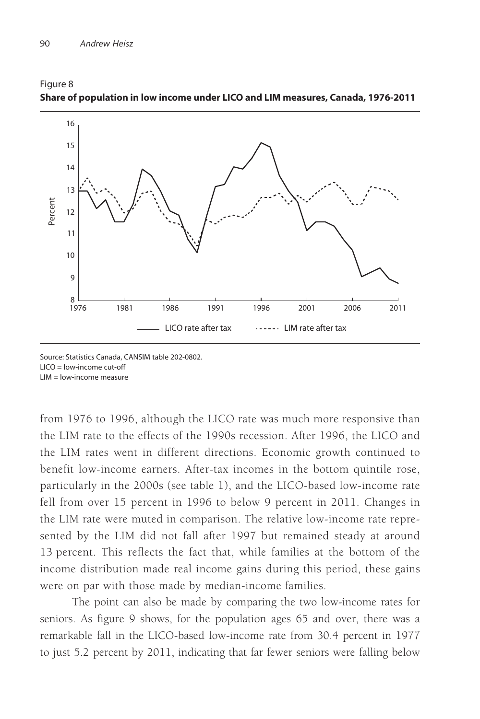

Figure 8 **Share of population in low income under LICO and LIM measures, Canada, 1976-2011**

Source: Statistics Canada, CANSIM table 202-0802. LICO = low-income cut-off LIM = low-income measure

from 1976 to 1996, although the LICO rate was much more responsive than the LIM rate to the effects of the 1990s recession. After 1996, the LICO and the LIM rates went in different directions. Economic growth continued to benefit low-income earners. After-tax incomes in the bottom quintile rose, particularly in the 2000s (see table 1), and the LICO-based low-income rate fell from over 15 percent in 1996 to below 9 percent in 2011. Changes in the LIM rate were muted in comparison. The relative low-income rate represented by the LIM did not fall after 1997 but remained steady at around 13 percent. This reflects the fact that, while families at the bottom of the income distribution made real income gains during this period, these gains were on par with those made by median-income families.

The point can also be made by comparing the two low-income rates for seniors. As figure 9 shows, for the population ages 65 and over, there was a remarkable fall in the LICO-based low-income rate from 30.4 percent in 1977 to just 5.2 percent by 2011, indicating that far fewer seniors were falling below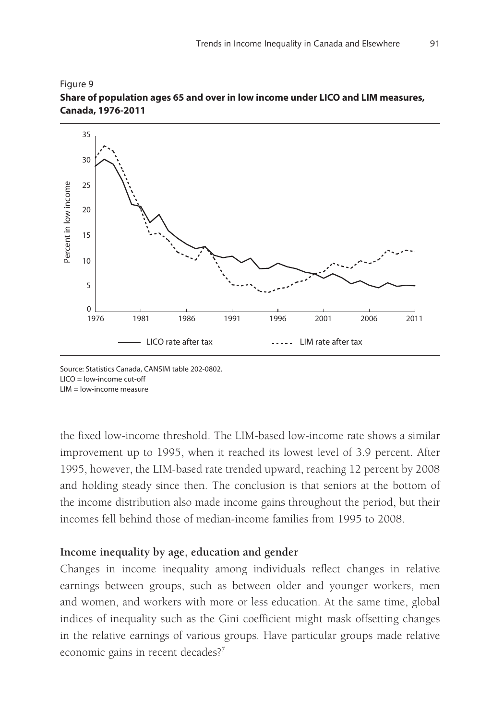



Source: Statistics Canada, CANSIM table 202-0802. LICO = low-income cut-off LIM = low-income measure

the fixed low-income threshold. The LIM-based low-income rate shows a similar improvement up to 1995, when it reached its lowest level of 3.9 percent. After 1995, however, the LIM-based rate trended upward, reaching 12 percent by 2008 and holding steady since then. The conclusion is that seniors at the bottom of the income distribution also made income gains throughout the period, but their incomes fell behind those of median-income families from 1995 to 2008.

## **Income inequality by age, education and gender**

Changes in income inequality among individuals reflect changes in relative earnings between groups, such as between older and younger workers, men and women, and workers with more or less education. At the same time, global indices of inequality such as the Gini coefficient might mask offsetting changes in the relative earnings of various groups. Have particular groups made relative economic gains in recent decades?7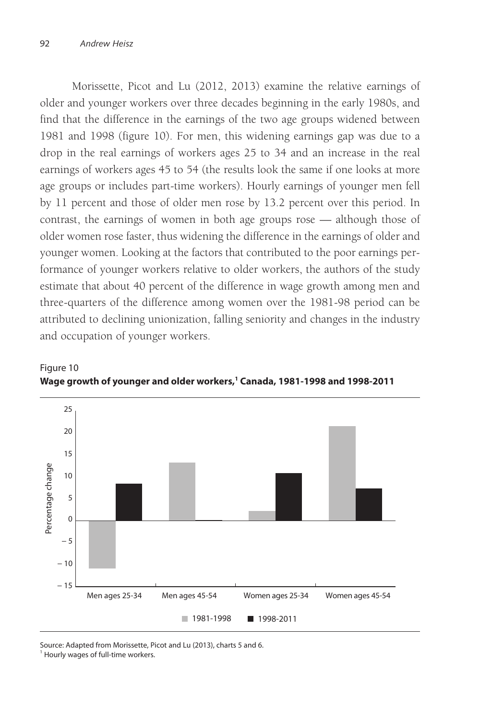Morissette, Picot and Lu (2012, 2013) examine the relative earnings of older and younger workers over three decades beginning in the early 1980s, and find that the difference in the earnings of the two age groups widened between 1981 and 1998 (figure 10). For men, this widening earnings gap was due to a drop in the real earnings of workers ages 25 to 34 and an increase in the real earnings of workers ages 45 to 54 (the results look the same if one looks at more age groups or includes part-time workers). Hourly earnings of younger men fell by 11 percent and those of older men rose by 13.2 percent over this period. In contrast, the earnings of women in both age groups rose — although those of older women rose faster, thus widening the difference in the earnings of older and younger women. Looking at the factors that contributed to the poor earnings performance of younger workers relative to older workers, the authors of the study estimate that about 40 percent of the difference in wage growth among men and three-quarters of the difference among women over the 1981-98 period can be attributed to declining unionization, falling seniority and changes in the industry and occupation of younger workers.



#### Figure 10 **Wage growth of younger and older workers,1 Canada, 1981-1998 and 1998-2011**

Source: Adapted from Morissette, Picot and Lu (2013), charts 5 and 6.

<sup>&</sup>lt;sup>1</sup> Hourly wages of full-time workers.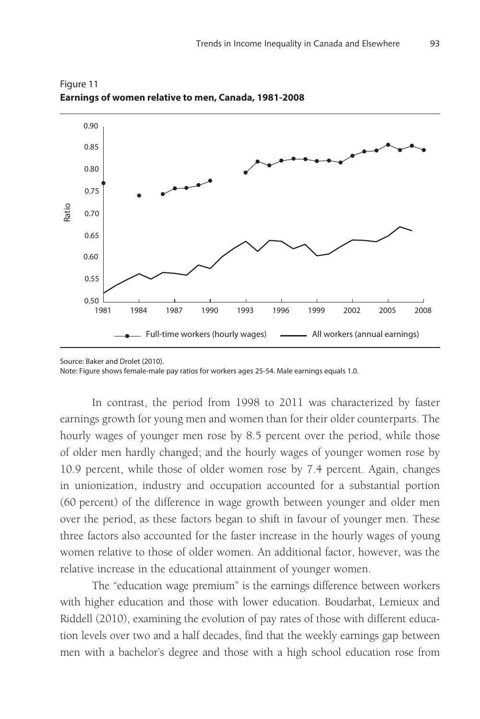

Figure 11 **Earnings of women relative to men, Canada, 1981-2008**

In contrast, the period from 1998 to 2011 was characterized by faster earnings growth for young men and women than for their older counterparts. The hourly wages of younger men rose by 8.5 percent over the period, while those of older men hardly changed; and the hourly wages of younger women rose by 10.9 percent, while those of older women rose by 7.4 percent. Again, changes in unionization, industry and occupation accounted for a substantial portion (60 percent) of the difference in wage growth between younger and older men over the period, as these factors began to shift in favour of younger men. These three factors also accounted for the faster increase in the hourly wages of young women relative to those of older women. An additional factor, however, was the relative increase in the educational attainment of younger women.

The "education wage premium" is the earnings difference between workers with higher education and those with lower education. Boudarbat, Lemieux and Riddell (2010), examining the evolution of pay rates of those with different education levels over two and a half decades, find that the weekly earnings gap between men with a bachelor's degree and those with a high school education rose from

Source: Baker and Drolet (2010). Note: Figure shows female-male pay ratios for workers ages 25-54. Male earnings equals 1.0.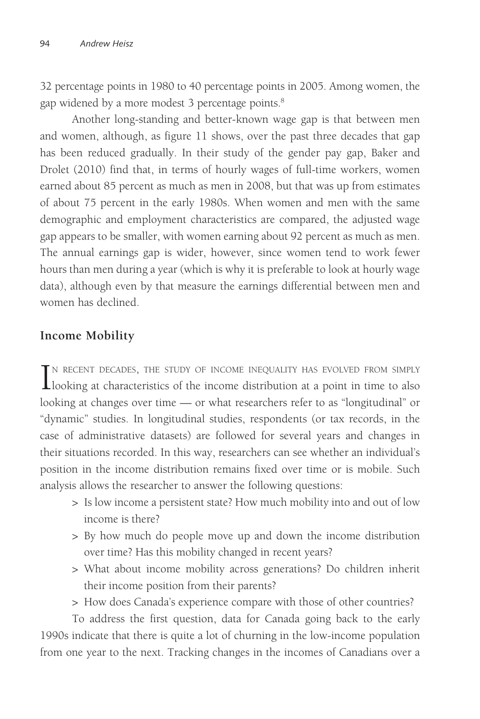32 percentage points in 1980 to 40 percentage points in 2005. Among women, the gap widened by a more modest 3 percentage points.<sup>8</sup>

Another long-standing and better-known wage gap is that between men and women, although, as figure 11 shows, over the past three decades that gap has been reduced gradually. In their study of the gender pay gap, Baker and Drolet (2010) find that, in terms of hourly wages of full-time workers, women earned about 85 percent as much as men in 2008, but that was up from estimates of about 75 percent in the early 1980s. When women and men with the same demographic and employment characteristics are compared, the adjusted wage gap appears to be smaller, with women earning about 92 percent as much as men. The annual earnings gap is wider, however, since women tend to work fewer hours than men during a year (which is why it is preferable to look at hourly wage data), although even by that measure the earnings differential between men and women has declined.

## **Income Mobility**

IN RECENT DECADES, THE STUDY OF INCOME INEQUALITY HAS EVOLVED FROM SIMPLY looking at characteristics of the income distribution at a point in time to also TN RECENT DECADES, THE STUDY OF INCOME INEQUALITY HAS EVOLVED FROM SIMPLY looking at changes over time — or what researchers refer to as "longitudinal" or "dynamic" studies. In longitudinal studies, respondents (or tax records, in the case of administrative datasets) are followed for several years and changes in their situations recorded. In this way, researchers can see whether an individual's position in the income distribution remains fixed over time or is mobile. Such analysis allows the researcher to answer the following questions:

- > Is low income a persistent state? How much mobility into and out of low income is there?
- > By how much do people move up and down the income distribution over time? Has this mobility changed in recent years?
- > What about income mobility across generations? Do children inherit their income position from their parents?
- > How does Canada's experience compare with those of other countries?

To address the first question, data for Canada going back to the early 1990s indicate that there is quite a lot of churning in the low-income population from one year to the next. Tracking changes in the incomes of Canadians over a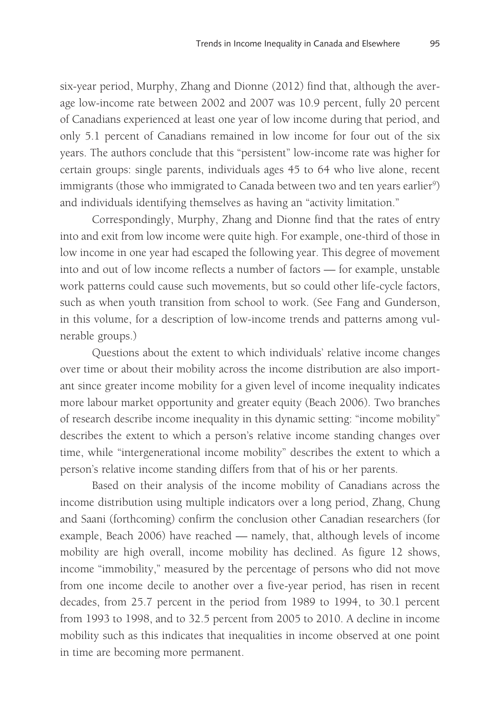six-year period, Murphy, Zhang and Dionne (2012) find that, although the average low-income rate between 2002 and 2007 was 10.9 percent, fully 20 percent of Canadians experienced at least one year of low income during that period, and only 5.1 percent of Canadians remained in low income for four out of the six years. The authors conclude that this "persistent" low-income rate was higher for certain groups: single parents, individuals ages 45 to 64 who live alone, recent immigrants (those who immigrated to Canada between two and ten years earlier<sup>9</sup>) and individuals identifying themselves as having an "activity limitation."

Correspondingly, Murphy, Zhang and Dionne find that the rates of entry into and exit from low income were quite high. For example, one-third of those in low income in one year had escaped the following year. This degree of movement into and out of low income reflects a number of factors — for example, unstable work patterns could cause such movements, but so could other life-cycle factors, such as when youth transition from school to work. (See Fang and Gunderson, in this volume, for a description of low-income trends and patterns among vulnerable groups.)

Questions about the extent to which individuals' relative income changes over time or about their mobility across the income distribution are also important since greater income mobility for a given level of income inequality indicates more labour market opportunity and greater equity (Beach 2006). Two branches of research describe income inequality in this dynamic setting: "income mobility" describes the extent to which a person's relative income standing changes over time, while "intergenerational income mobility" describes the extent to which a person's relative income standing differs from that of his or her parents.

Based on their analysis of the income mobility of Canadians across the income distribution using multiple indicators over a long period, Zhang, Chung and Saani (forthcoming) confirm the conclusion other Canadian researchers (for example, Beach 2006) have reached — namely, that, although levels of income mobility are high overall, income mobility has declined. As figure 12 shows, income "immobility," measured by the percentage of persons who did not move from one income decile to another over a five-year period, has risen in recent decades, from 25.7 percent in the period from 1989 to 1994, to 30.1 percent from 1993 to 1998, and to 32.5 percent from 2005 to 2010. A decline in income mobility such as this indicates that inequalities in income observed at one point in time are becoming more permanent.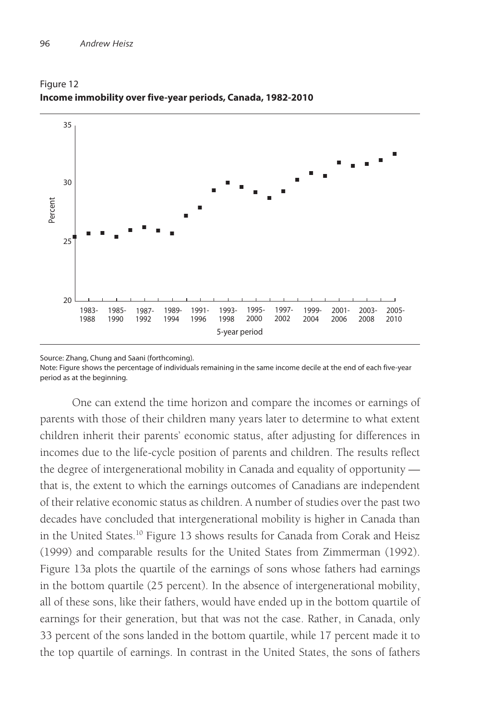

Figure 12 **Income immobility over five-year periods, Canada, 1982-2010**

Source: Zhang, Chung and Saani (forthcoming).

Note: Figure shows the percentage of individuals remaining in the same income decile at the end of each five-year period as at the beginning.

One can extend the time horizon and compare the incomes or earnings of parents with those of their children many years later to determine to what extent children inherit their parents' economic status, after adjusting for differences in incomes due to the life-cycle position of parents and children. The results reflect the degree of intergenerational mobility in Canada and equality of opportunity that is, the extent to which the earnings outcomes of Canadians are independent of their relative economic status as children. A number of studies over the past two decades have concluded that intergenerational mobility is higher in Canada than in the United States.<sup>10</sup> Figure 13 shows results for Canada from Corak and Heisz (1999) and comparable results for the United States from Zimmerman (1992). Figure 13a plots the quartile of the earnings of sons whose fathers had earnings in the bottom quartile (25 percent). In the absence of intergenerational mobility, all of these sons, like their fathers, would have ended up in the bottom quartile of earnings for their generation, but that was not the case. Rather, in Canada, only 33 percent of the sons landed in the bottom quartile, while 17 percent made it to the top quartile of earnings. In contrast in the United States, the sons of fathers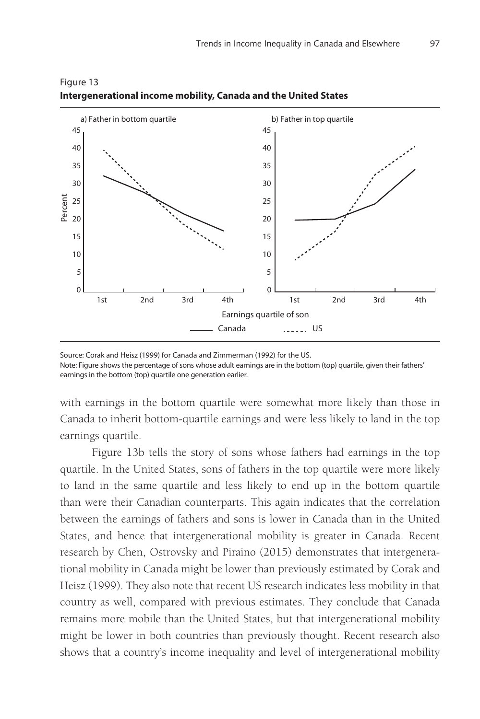

Figure 13 **Intergenerational income mobility, Canada and the United States**

with earnings in the bottom quartile were somewhat more likely than those in Canada to inherit bottom-quartile earnings and were less likely to land in the top earnings quartile.

Figure 13b tells the story of sons whose fathers had earnings in the top quartile. In the United States, sons of fathers in the top quartile were more likely to land in the same quartile and less likely to end up in the bottom quartile than were their Canadian counterparts. This again indicates that the correlation between the earnings of fathers and sons is lower in Canada than in the United States, and hence that intergenerational mobility is greater in Canada. Recent research by Chen, Ostrovsky and Piraino (2015) demonstrates that intergenerational mobility in Canada might be lower than previously estimated by Corak and Heisz (1999). They also note that recent US research indicates less mobility in that country as well, compared with previous estimates. They conclude that Canada remains more mobile than the United States, but that intergenerational mobility might be lower in both countries than previously thought. Recent research also shows that a country's income inequality and level of intergenerational mobility

Source: Corak and Heisz (1999) for Canada and Zimmerman (1992) for the US. Note: Figure shows the percentage of sons whose adult earnings are in the bottom (top) quartile, given their fathers' earnings in the bottom (top) quartile one generation earlier.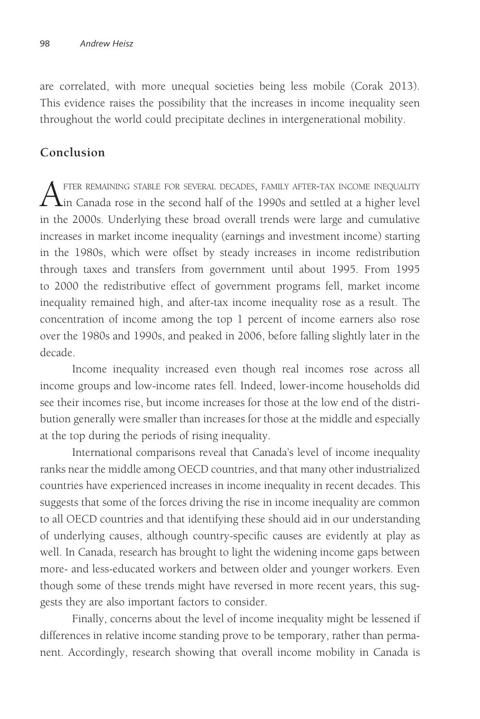are correlated, with more unequal societies being less mobile (Corak 2013). This evidence raises the possibility that the increases in income inequality seen throughout the world could precipitate declines in intergenerational mobility.

## **Conclusion**

After remaining stable for several decades, family after-tax income inequality<br>in Canada rose in the second half of the 1990s and settled at a higher level in the 2000s. Underlying these broad overall trends were large and cumulative increases in market income inequality (earnings and investment income) starting in the 1980s, which were offset by steady increases in income redistribution through taxes and transfers from government until about 1995. From 1995 to 2000 the redistributive effect of government programs fell, market income inequality remained high, and after-tax income inequality rose as a result. The concentration of income among the top 1 percent of income earners also rose over the 1980s and 1990s, and peaked in 2006, before falling slightly later in the decade.

Income inequality increased even though real incomes rose across all income groups and low-income rates fell. Indeed, lower-income households did see their incomes rise, but income increases for those at the low end of the distribution generally were smaller than increases for those at the middle and especially at the top during the periods of rising inequality.

International comparisons reveal that Canada's level of income inequality ranks near the middle among OECD countries, and that many other industrialized countries have experienced increases in income inequality in recent decades. This suggests that some of the forces driving the rise in income inequality are common to all OECD countries and that identifying these should aid in our understanding of underlying causes, although country-specific causes are evidently at play as well. In Canada, research has brought to light the widening income gaps between more- and less-educated workers and between older and younger workers. Even though some of these trends might have reversed in more recent years, this suggests they are also important factors to consider.

Finally, concerns about the level of income inequality might be lessened if differences in relative income standing prove to be temporary, rather than permanent. Accordingly, research showing that overall income mobility in Canada is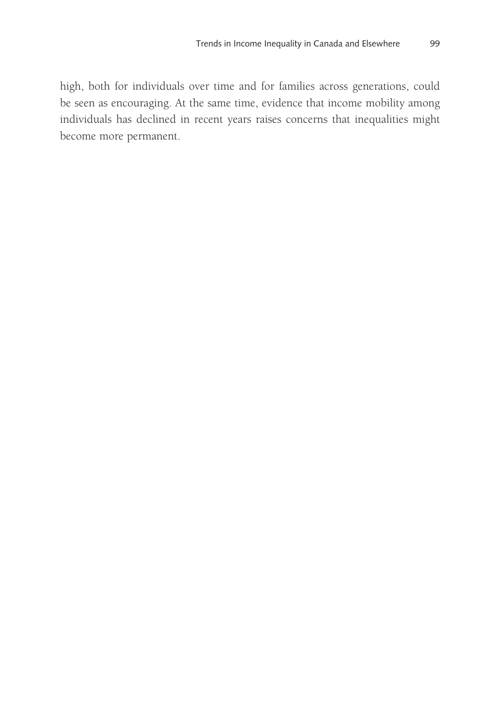high, both for individuals over time and for families across generations, could be seen as encouraging. At the same time, evidence that income mobility among individuals has declined in recent years raises concerns that inequalities might become more permanent.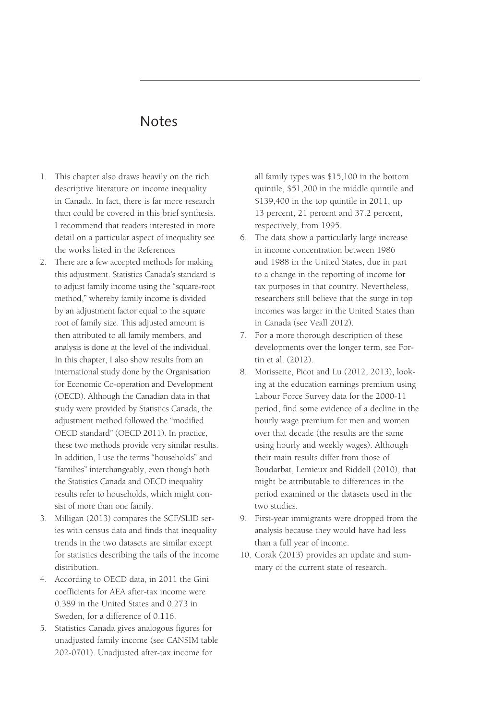## Notes

- 1. This chapter also draws heavily on the rich descriptive literature on income inequality in Canada. In fact, there is far more research than could be covered in this brief synthesis. I recommend that readers interested in more detail on a particular aspect of inequality see the works listed in the References
- 2. There are a few accepted methods for making this adjustment. Statistics Canada's standard is to adjust family income using the "square-root method," whereby family income is divided by an adjustment factor equal to the square root of family size. This adjusted amount is then attributed to all family members, and analysis is done at the level of the individual. In this chapter, I also show results from an international study done by the Organisation for Economic Co-operation and Development (OECD). Although the Canadian data in that study were provided by Statistics Canada, the adjustment method followed the "modified OECD standard" (OECD 2011). In practice, these two methods provide very similar results. In addition, I use the terms "households" and "families" interchangeably, even though both the Statistics Canada and OECD inequality results refer to households, which might consist of more than one family.
- 3. Milligan (2013) compares the SCF/SLID series with census data and finds that inequality trends in the two datasets are similar except for statistics describing the tails of the income distribution.
- 4. According to OECD data, in 2011 the Gini coefficients for AEA after-tax income were 0.389 in the United States and 0.273 in Sweden, for a difference of 0.116.
- 5. Statistics Canada gives analogous figures for unadjusted family income (see CANSIM table 202-0701). Unadjusted after-tax income for

all family types was \$15,100 in the bottom quintile, \$51,200 in the middle quintile and \$139,400 in the top quintile in 2011, up 13 percent, 21 percent and 37.2 percent, respectively, from 1995.

- 6. The data show a particularly large increase in income concentration between 1986 and 1988 in the United States, due in part to a change in the reporting of income for tax purposes in that country. Nevertheless, researchers still believe that the surge in top incomes was larger in the United States than in Canada (see Veall 2012).
- 7. For a more thorough description of these developments over the longer term, see Fortin et al. (2012).
- 8. Morissette, Picot and Lu (2012, 2013), looking at the education earnings premium using Labour Force Survey data for the 2000-11 period, find some evidence of a decline in the hourly wage premium for men and women over that decade (the results are the same using hourly and weekly wages). Although their main results differ from those of Boudarbat, Lemieux and Riddell (2010), that might be attributable to differences in the period examined or the datasets used in the two studies.
- 9. First-year immigrants were dropped from the analysis because they would have had less than a full year of income.
- 10. Corak (2013) provides an update and summary of the current state of research.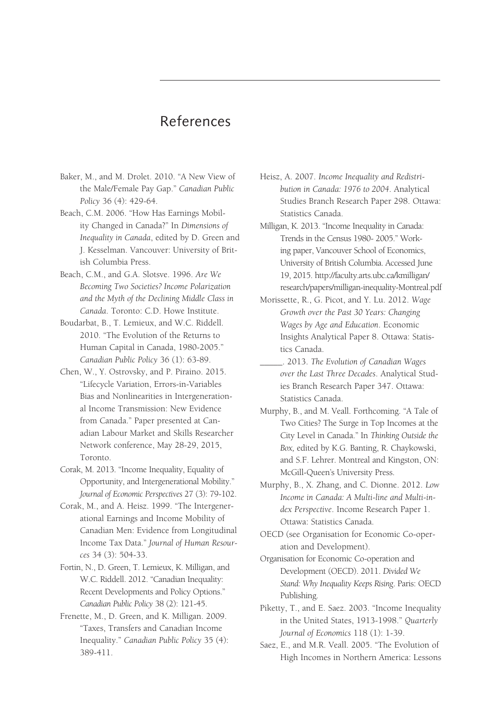## References

- Baker, M., and M. Drolet. 2010. "A New View of the Male/Female Pay Gap." *Canadian Public Policy* 36 (4): 429-64.
- Beach, C.M. 2006. "How Has Earnings Mobility Changed in Canada?" In *Dimensions of Inequality in Canada*, edited by D. Green and J. Kesselman. Vancouver: University of British Columbia Press.
- Beach, C.M., and G.A. Slotsve. 1996. *Are We Becoming Two Societies? Income Polarization and the Myth of the Declining Middle Class in Canada*. Toronto: C.D. Howe Institute.
- Boudarbat, B., T. Lemieux, and W.C. Riddell. 2010. "The Evolution of the Returns to Human Capital in Canada, 1980-2005." *Canadian Public Policy* 36 (1): 63-89.
- Chen, W., Y. Ostrovsky, and P. Piraino. 2015. "Lifecycle Variation, Errors-in-Variables Bias and Nonlinearities in Intergenerational Income Transmission: New Evidence from Canada." Paper presented at Canadian Labour Market and Skills Researcher Network conference, May 28-29, 2015, Toronto.
- Corak, M. 2013. "Income Inequality, Equality of Opportunity, and Intergenerational Mobility." *Journal of Economic Perspectives* 27 (3): 79-102.
- Corak, M., and A. Heisz. 1999. "The Intergenerational Earnings and Income Mobility of Canadian Men: Evidence from Longitudinal Income Tax Data." *Journal of Human Resources* 34 (3): 504-33.
- Fortin, N., D. Green, T. Lemieux, K. Milligan, and W.C. Riddell. 2012. "Canadian Inequality: Recent Developments and Policy Options." *Canadian Public Policy* 38 (2): 121-45.
- Frenette, M., D. Green, and K. Milligan. 2009. "Taxes, Transfers and Canadian Income Inequality." *Canadian Public Policy* 35 (4): 389-411.
- Heisz, A. 2007. *Income Inequality and Redistribution in Canada: 1976 to 2004*. Analytical Studies Branch Research Paper 298. Ottawa: Statistics Canada.
- Milligan, K. 2013. "Income Inequality in Canada: Trends in the Census 1980- 2005." Working paper, Vancouver School of Economics, University of British Columbia. Accessed June 19, 2015. http://faculty.arts.ubc.ca/kmilligan/ research/papers/milligan-inequality-Montreal.pdf
- Morissette, R., G. Picot, and Y. Lu. 2012. *Wage Growth over the Past 30 Years: Changing Wages by Age and Education*. Economic Insights Analytical Paper 8. Ottawa: Statistics Canada.
- \_\_\_\_\_. 2013. *The Evolution of Canadian Wages over the Last Three Decades*. Analytical Studies Branch Research Paper 347. Ottawa: Statistics Canada.
- Murphy, B., and M. Veall. Forthcoming. "A Tale of Two Cities? The Surge in Top Incomes at the City Level in Canada." In *Thinking Outside the Box,* edited by K.G. Banting, R. Chaykowski, and S.F. Lehrer. Montreal and Kingston, ON: McGill-Queen's University Press.
- Murphy, B., X. Zhang, and C. Dionne. 2012. *Low Income in Canada: A Multi-line and Multi-index Perspective*. Income Research Paper 1. Ottawa: Statistics Canada.
- OECD (see Organisation for Economic Co-operation and Development).
- Organisation for Economic Co-operation and Development (OECD). 2011. *Divided We Stand: Why Inequality Keeps Rising*. Paris: OECD Publishing.
- Piketty, T., and E. Saez. 2003. "Income Inequality in the United States, 1913-1998." *Quarterly Journal of Economics* 118 (1): 1-39.
- Saez, E., and M.R. Veall. 2005. "The Evolution of High Incomes in Northern America: Lessons